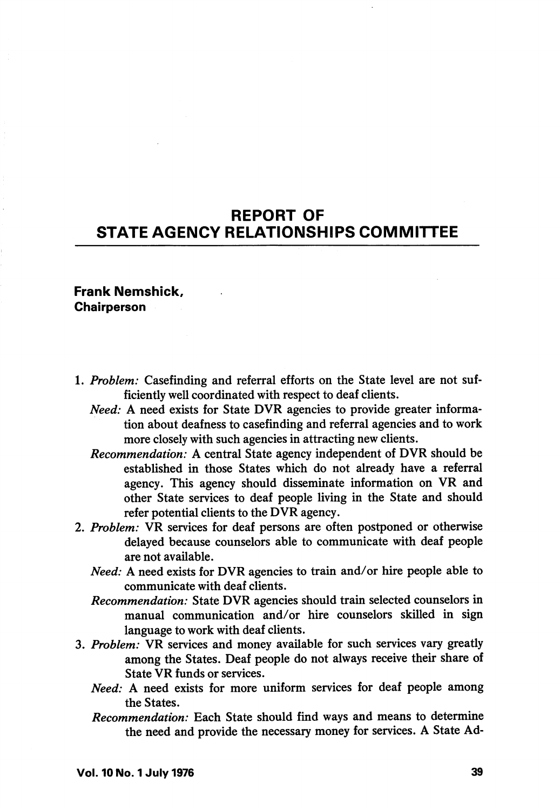## REPORT OF STATE AGENCY RELATIONSHIPS COMMITTEE

## Frank Nemshick, **Chairperson**

- 1. Problem: Casefinding and referral efforts on the State level are not sufficiently well coordinated with respect to deaf clients.
	- Need: A need exists for State DVR agencies to provide greater information about deafness to casefinding and referral agencies and to work more closely with such agencies in attracting new clients.
	- Recommendation: A central State agency independent of DVR should be established in those States which do not already have a referral agency. This agency should disseminate information on VR and other State services to deaf people living in the State and should refer potential clients to the DVR agency.
- 2. Problem: VR services for deaf persons are often postponed or otherwise delayed because counselors able to communicate with deaf people are not available.
	- Need: A need exists for DVR agencies to train and/or hire people able to communicate with deaf clients.
	- Recommendation: State DVR agencies should train selected counselors in manual communication and/or hire counselors skilled in sign language to work with deaf clients.
- 3. Problem: VR services and money available for such services vary greatly among the States. Deaf people do not always receive their share of State VR funds or services.
	- Need: A need exists for more uniform services for deaf people among the States.
	- Recommendation: Each State should find ways and means to determine the need and provide the necessary money for services. A State Ad-